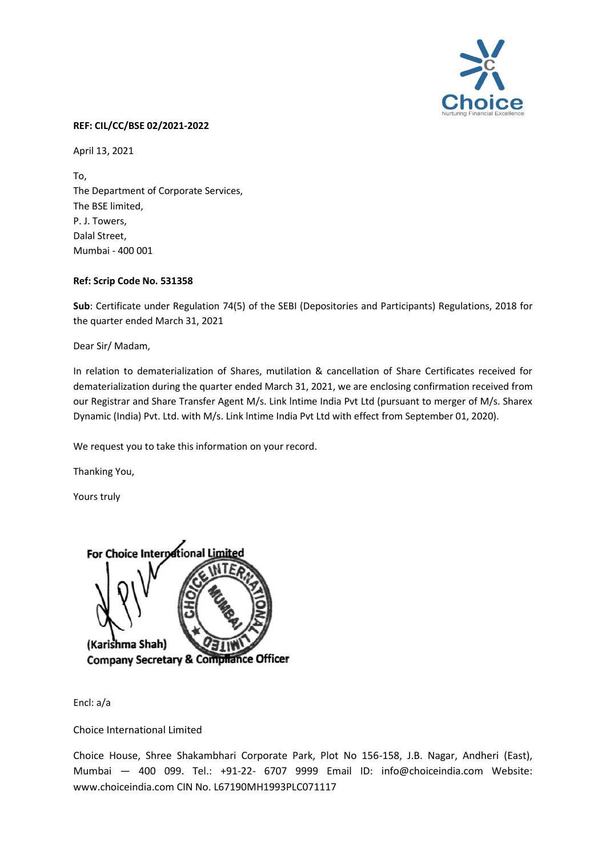

## **REF: CIL/CC/BSE 02/2021-2022**

April 13, 2021

To, The Department of Corporate Services, The BSE limited, P. J. Towers, Dalal Street, Mumbai - 400 001

## **Ref: Scrip Code No. 531358**

**Sub**: Certificate under Regulation 74(5) of the SEBI (Depositories and Participants) Regulations, 2018 for the quarter ended March 31, 2021

Dear Sir/ Madam,

In relation to dematerialization of Shares, mutilation & cancellation of Share Certificates received for dematerialization during the quarter ended March 31, 2021, we are enclosing confirmation received from our Registrar and Share Transfer Agent M/s. Link lntime India Pvt Ltd (pursuant to merger of M/s. Sharex Dynamic (India) Pvt. Ltd. with M/s. Link lntime India Pvt Ltd with effect from September 01, 2020).

We request you to take this information on your record.

Thanking You,

Yours truly



Encl: a/a

Choice International Limited

Choice House, Shree Shakambhari Corporate Park, Plot No 156-158, J.B. Nagar, Andheri (East), Mumbai — 400 099. Tel.: +91-22- 6707 9999 Email ID: info@choiceindia.com Website: www.choiceindia.com CIN No. L67190MH1993PLC071117